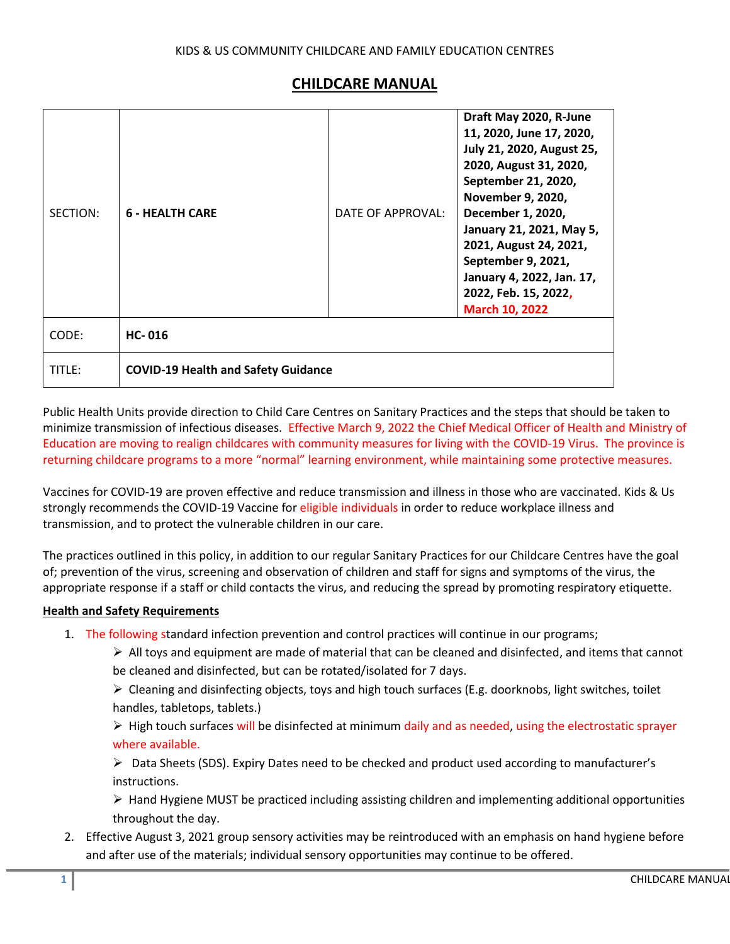## **CHILDCARE MANUAL**

| SECTION: | <b>6 - HEALTH CARE</b>                     | DATE OF APPROVAL: | Draft May 2020, R-June<br>11, 2020, June 17, 2020,<br>July 21, 2020, August 25,<br>2020, August 31, 2020,<br>September 21, 2020,<br>November 9, 2020,<br>December 1, 2020,<br>January 21, 2021, May 5,<br>2021, August 24, 2021,<br>September 9, 2021,<br>January 4, 2022, Jan. 17,<br>2022, Feb. 15, 2022,<br><b>March 10, 2022</b> |
|----------|--------------------------------------------|-------------------|--------------------------------------------------------------------------------------------------------------------------------------------------------------------------------------------------------------------------------------------------------------------------------------------------------------------------------------|
| CODE:    | <b>HC-016</b>                              |                   |                                                                                                                                                                                                                                                                                                                                      |
| TITLE:   | <b>COVID-19 Health and Safety Guidance</b> |                   |                                                                                                                                                                                                                                                                                                                                      |

Public Health Units provide direction to Child Care Centres on Sanitary Practices and the steps that should be taken to minimize transmission of infectious diseases. Effective March 9, 2022 the Chief Medical Officer of Health and Ministry of Education are moving to realign childcares with community measures for living with the COVID-19 Virus. The province is returning childcare programs to a more "normal" learning environment, while maintaining some protective measures.

Vaccines for COVID-19 are proven effective and reduce transmission and illness in those who are vaccinated. Kids & Us strongly recommends the COVID-19 Vaccine for eligible individuals in order to reduce workplace illness and transmission, and to protect the vulnerable children in our care.

The practices outlined in this policy, in addition to our regular Sanitary Practices for our Childcare Centres have the goal of; prevention of the virus, screening and observation of children and staff for signs and symptoms of the virus, the appropriate response if a staff or child contacts the virus, and reducing the spread by promoting respiratory etiquette.

## **Health and Safety Requirements**

- 1. The following standard infection prevention and control practices will continue in our programs;
	- $\triangleright$  All toys and equipment are made of material that can be cleaned and disinfected, and items that cannot be cleaned and disinfected, but can be rotated/isolated for 7 days.
	- $\triangleright$  Cleaning and disinfecting objects, toys and high touch surfaces (E.g. doorknobs, light switches, toilet handles, tabletops, tablets.)
	- $\triangleright$  High touch surfaces will be disinfected at minimum daily and as needed, using the electrostatic sprayer where available.
	- $\triangleright$  Data Sheets (SDS). Expiry Dates need to be checked and product used according to manufacturer's instructions.

 $\triangleright$  Hand Hygiene MUST be practiced including assisting children and implementing additional opportunities throughout the day.

2. Effective August 3, 2021 group sensory activities may be reintroduced with an emphasis on hand hygiene before and after use of the materials; individual sensory opportunities may continue to be offered.